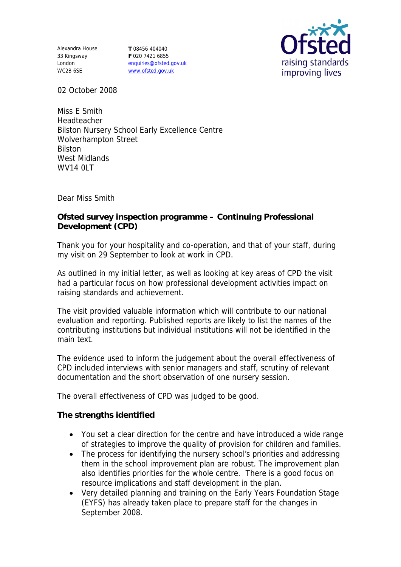Alexandra House 33 Kingsway London WC2B 6SE

**T** 08456 404040 **F** 020 7421 6855 enquiries@ofsted.gov.uk www.ofsted.gov.uk



02 October 2008

Miss E Smith Headteacher Bilston Nursery School Early Excellence Centre Wolverhampton Street Bilston West Midlands **WV14 0LT** 

Dear Miss Smith

**Ofsted survey inspection programme – Continuing Professional Development (CPD)**

Thank you for your hospitality and co-operation, and that of your staff, during my visit on 29 September to look at work in CPD.

As outlined in my initial letter, as well as looking at key areas of CPD the visit had a particular focus on how professional development activities impact on raising standards and achievement.

The visit provided valuable information which will contribute to our national evaluation and reporting. Published reports are likely to list the names of the contributing institutions but individual institutions will not be identified in the main text.

The evidence used to inform the judgement about the overall effectiveness of CPD included interviews with senior managers and staff, scrutiny of relevant documentation and the short observation of one nursery session.

The overall effectiveness of CPD was judged to be good.

**The strengths identified**

- You set a clear direction for the centre and have introduced a wide range of strategies to improve the quality of provision for children and families.
- The process for identifying the nursery school's priorities and addressing them in the school improvement plan are robust. The improvement plan also identifies priorities for the whole centre. There is a good focus on resource implications and staff development in the plan.
- Very detailed planning and training on the Early Years Foundation Stage (EYFS) has already taken place to prepare staff for the changes in September 2008.